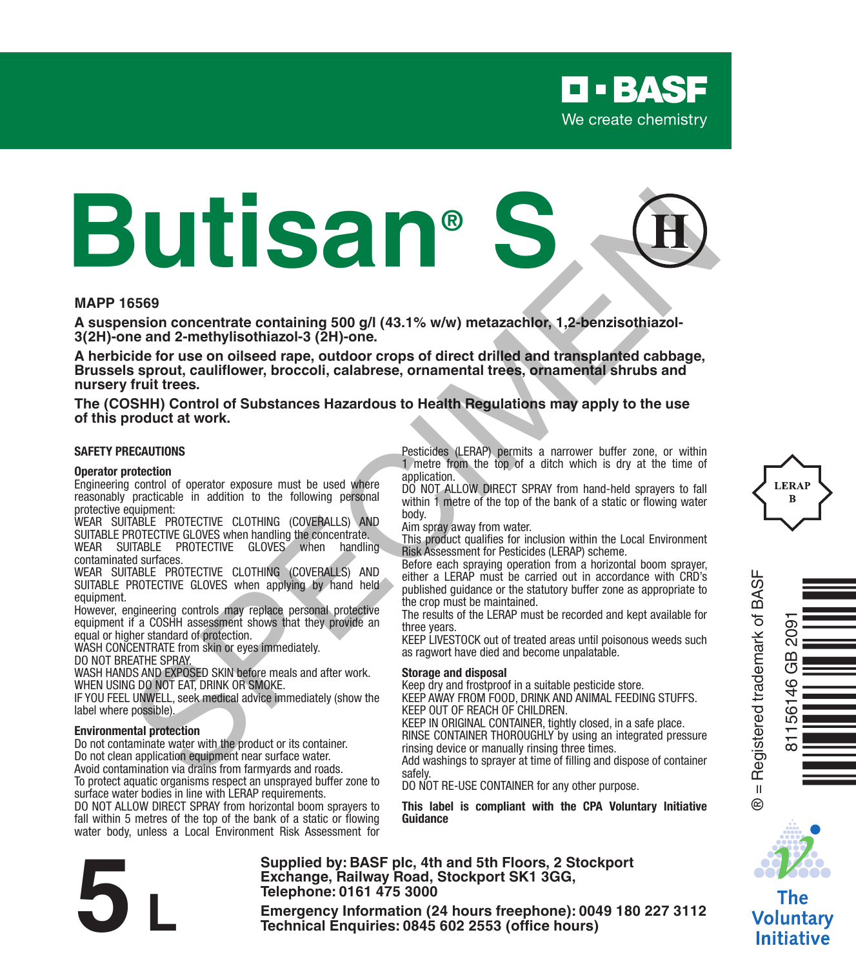# **Butisan® S** Session concentrate containing 500 gill (43.1% w/w) metazachibe, 1,2-benzisothiazol-<br>
me and 2-methylisothiazol-3 (2H)-one.<br>
He and 2-methylisothiazol-3 (2H)-one.<br>
Session concelled range outdoor crops of direct drilled an

### **MAPP 16569**

**A suspension concentrate containing 500 g/l (43.1% w/w) metazachlor, 1,2-benzisothiazol-3(2H)-one and 2-methylisothiazol-3 (2H)-one.**

**A herbicide for use on oilseed rape, outdoor crops of direct drilled and transplanted cabbage, Brussels sprout, cauliflower, broccoli, calabrese, ornamental trees, ornamental shrubs and nursery fruit trees.**

**The (COSHH) Control of Substances Hazardous to Health Regulations may apply to the use of this product at work.**

### **SAFETY PRECAUTIONS**

### **Operator protection**

Engineering control of operator exposure must be used where reasonably practicable in addition to the following personal protective equipment:

WEAR SUITABLE PROTECTIVE CLOTHING (COVERALLS) AND SUITABLE PROTECTIVE GLOVES when handling the concentrate. WEAR SUITABLE PROTECTIVE GLOVES when handling

contaminated surfaces. WEAR SUITABLE PROTECTIVE CLOTHING (COVERALLS) AND

SUITABLE PROTECTIVE GLOVES when applying by hand held equipment.

However, engineering controls may replace personal protective equipment if a COSHH assessment shows that they provide an equal or higher standard of protection.

WASH CONCENTRATE from skin or eyes immediately.

DO NOT BREATHE SPRAY.

WASH HANDS AND EXPOSED SKIN before meals and after work. WHEN USING DO NOT EAT, DRINK OR SMOKE.

IF YOU FEEL UNWELL, seek medical advice immediately (show the label where possible).

### **Environmental protection**

Do not contaminate water with the product or its container. Do not clean application equipment near surface water. Avoid contamination via drains from farmyards and roads.

To protect aquatic organisms respect an unsprayed buffer zone to surface water bodies in line with LERAP requirements.

DO NOT ALLOW DIRECT SPRAY from horizontal boom sprayers to fall within 5 metres of the top of the bank of a static or flowing water body, unless a Local Environment Risk Assessment for Pesticides (LERAP) permits a narrower buffer zone, or within 1 metre from the top of a ditch which is dry at the time of application.

DO NOT ALLOW DIRECT SPRAY from hand-held sprayers to fall within 1 metre of the top of the bank of a static or flowing water body.

Aim spray away from water.

This product qualifies for inclusion within the Local Environment Risk Assessment for Pesticides (LERAP) scheme.

Before each spraying operation from a horizontal boom sprayer, either a LERAP must be carried out in accordance with CRD's published guidance or the statutory buffer zone as appropriate to the crop must be maintained.

The results of the LERAP must be recorded and kept available for three years.

KEEP LIVESTOCK out of treated areas until poisonous weeds such as ragwort have died and become unpalatable.

### **Storage and disposal**

Keep dry and frostproof in a suitable pesticide store.

KEEP AWAY FROM FOOD, DRINK AND ANIMAL FEEDING STUFFS. KEEP OUT OF REACH OF CHILDREN.

KEEP IN ORIGINAL CONTAINER, tightly closed, in a safe place. RINSE CONTAINER THOROUGHLY by using an integrated pressure

rinsing device or manually rinsing three times. Add washings to sprayer at time of filling and dispose of container safely.

DO NOT RE-USE CONTAINER for any other purpose.

**This label is compliant with the CPA Voluntary Initiative Guidance**



**Supplied by: BASF plc, 4th and 5th Floors, 2 Stockport Exchange, Railway Road, Stockport SK1 3GG, Telephone: 0161 475 3000**

Exchange, Rallway Road, Stockport SK1 3GG,<br>
Telephone: 0161 475 3000<br>
Emergency Information (24 hours freephone): 0049 180 227 3112<br>
Technical Enquiries: 0845 602 2553 (office hours)



Ò<br>Ndòna bhailtean 81156146 GB 2091۲.<br>آ

® = Registered trademark of BASF

 $^{\circ}$ 



Voluntary **Initiative**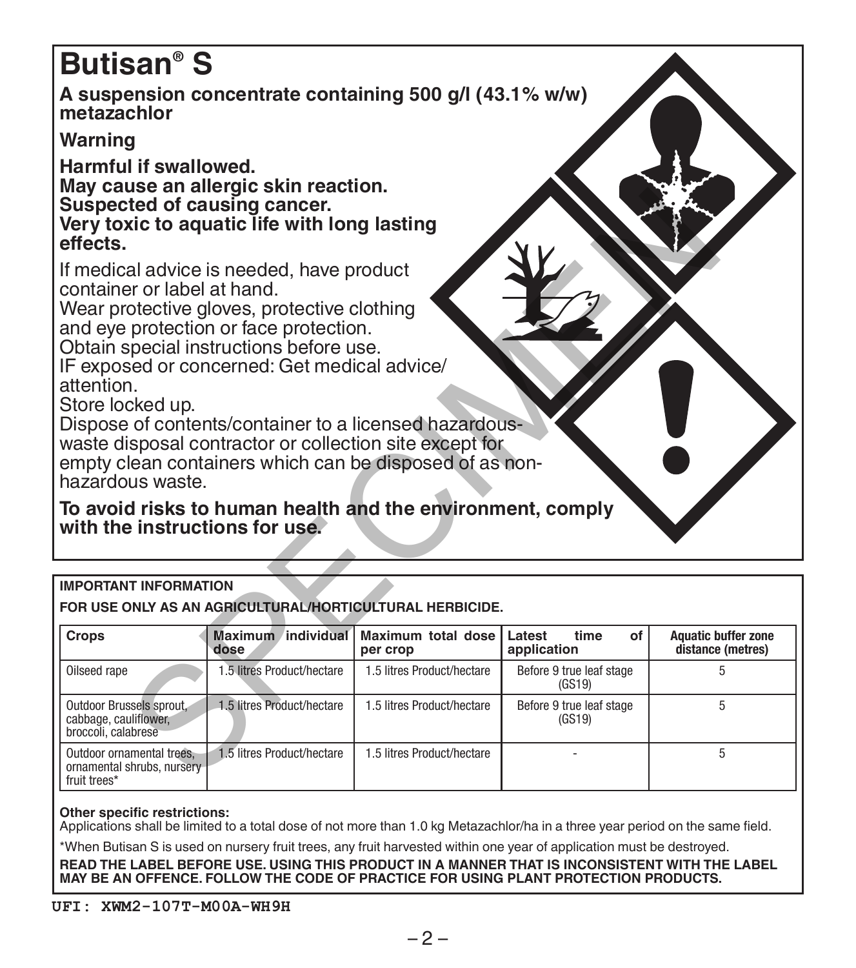# **Butisan® S**

**A suspension concentrate containing 500 g/l (43.1% w/w) metazachlor**

# **Warning**

**Harmful if swallowed. May cause an allergic skin reaction. Suspected of causing cancer.**

| Suspected of causing cancer.<br>effects.                                                                            | may caase an ancigio skin reaction.<br>Very toxic to aquatic life with long lasting                                                                                                                                                                                                                                                                                                                                                                                         |                                |                                     |                                                 |
|---------------------------------------------------------------------------------------------------------------------|-----------------------------------------------------------------------------------------------------------------------------------------------------------------------------------------------------------------------------------------------------------------------------------------------------------------------------------------------------------------------------------------------------------------------------------------------------------------------------|--------------------------------|-------------------------------------|-------------------------------------------------|
| container or label at hand.<br>attention.<br>Store locked up.<br>hazardous waste.<br>with the instructions for use. | If medical advice is needed, have product<br>Wear protective gloves, protective clothing<br>and eye protection or face protection.<br>Obtain special instructions before use.<br>IF exposed or concerned: Get medical advice/<br>Dispose of contents/container to a licensed hazardous-<br>waste disposal contractor or collection site except for<br>empty clean containers which can be disposed of as non-<br>To avoid risks to human health and the environment, comply |                                |                                     |                                                 |
|                                                                                                                     |                                                                                                                                                                                                                                                                                                                                                                                                                                                                             |                                |                                     |                                                 |
| <b>IMPORTANT INFORMATION</b>                                                                                        | FOR USE ONLY AS AN AGRICULTURAL/HORTICULTURAL HERBICIDE.                                                                                                                                                                                                                                                                                                                                                                                                                    |                                |                                     |                                                 |
| Crops                                                                                                               | Maximum individual<br>dose                                                                                                                                                                                                                                                                                                                                                                                                                                                  | Maximum total dose<br>per crop | Latest<br>of<br>time<br>application | <b>Aquatic buffer zone</b><br>distance (metres) |
| Oilseed rape                                                                                                        | 1.5 litres Product/hectare                                                                                                                                                                                                                                                                                                                                                                                                                                                  | 1.5 litres Product/hectare     | Before 9 true leaf stage<br>(GS19)  | 5                                               |
| Outdoor Brussels sprout.<br>cabbage, cauliflower.<br>broccoli, calabrese                                            | 1.5 litres Product/hectare                                                                                                                                                                                                                                                                                                                                                                                                                                                  | 1.5 litres Product/hectare     | Before 9 true leaf stage<br>(GS19)  | 5                                               |
| Outdoor ornamental trees.<br>ornamental shrubs, nursery<br>fruit trees*                                             | 1.5 litres Product/hectare                                                                                                                                                                                                                                                                                                                                                                                                                                                  | 1.5 litres Product/hectare     |                                     | 5                                               |
|                                                                                                                     |                                                                                                                                                                                                                                                                                                                                                                                                                                                                             |                                |                                     |                                                 |

### **Other specific restrictions:**

Applications shall be limited to a total dose of not more than 1.0 kg Metazachlor/ha in a three year period on the same field.

\*When Butisan S is used on nursery fruit trees, any fruit harvested within one year of application must be destroyed.

**READ THE LABEL BEFORE USE. USING THIS PRODUCT IN A MANNER THAT IS INCONSISTENT WITH THE LABEL MAY BE AN OFFENCE. FOLLOW THE CODE OF PRACTICE FOR USING PLANT PROTECTION PRODUCTS.**

### **UFI: XWM2-107T-M00A-WH9H**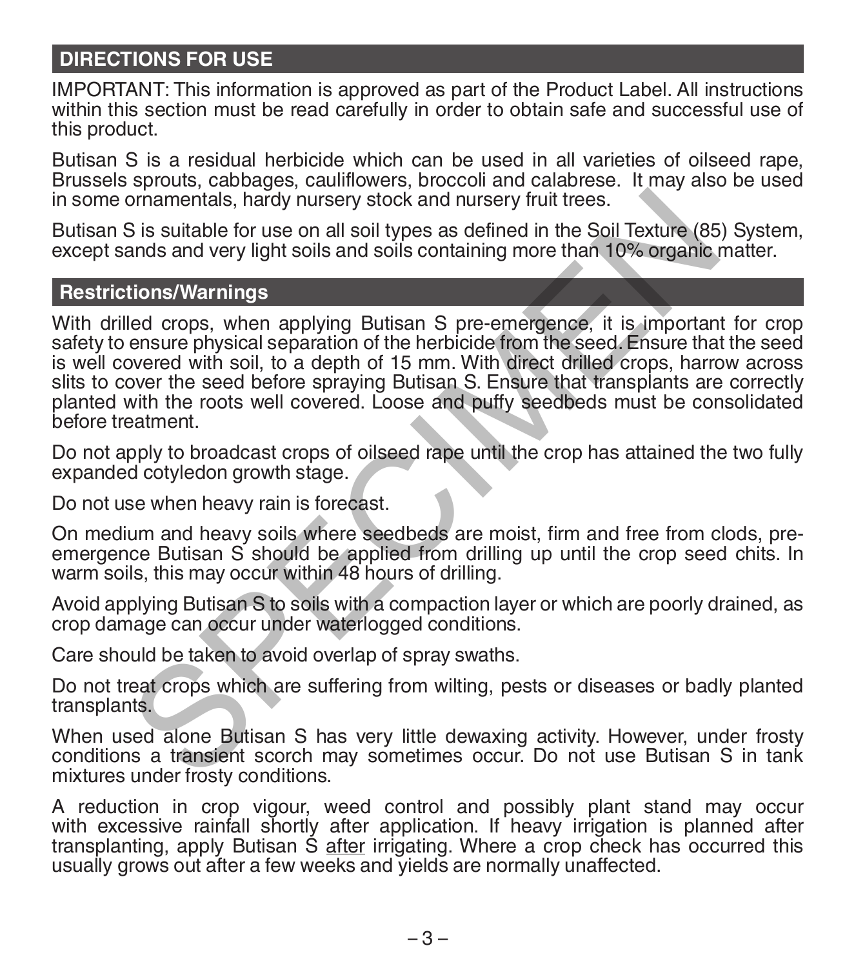# **DIRECTIONS FOR USE**

IMPORTANT: This information is approved as part of the Product Label. All instructions within this section must be read carefully in order to obtain safe and successful use of this product.

Butisan S is a residual herbicide which can be used in all varieties of oilseed rape, Brussels sprouts, cabbages, cauliflowers, broccoli and calabrese. It may also be used in some ornamentals, hardy nursery stock and nursery fruit trees.

Butisan S is suitable for use on all soil types as defined in the Soil Texture (85) System, except sands and very light soils and soils containing more than 10% organic matter.

### **Restrictions/Warnings**

With drilled crops, when applying Butisan S pre-emergence, it is important for crop safety to ensure physical separation of the herbicide from the seed. Ensure that the seed is well covered with soil, to a depth of 15 mm. With direct drilled crops, harrow across slits to cover the seed before spraying Butisan S. Ensure that transplants are correctly planted with the roots well covered. Loose and puffy seedbeds must be consolidated before treatment. ornamentals, hardy nursery stock and nursery fruit trees.<br>
Sis suitable for use on all soil types as defined in the Soil Texture (85<br>
ands and very light soils and soils containing more than 10% organic<br>
tions/Warnings<br>
le

Do not apply to broadcast crops of oilseed rape until the crop has attained the two fully expanded cotyledon growth stage.

Do not use when heavy rain is forecast.

On medium and heavy soils where seedbeds are moist, firm and free from clods, preemergence Butisan S should be applied from drilling up until the crop seed chits. In warm soils, this may occur within 48 hours of drilling.

Avoid applying Butisan S to soils with a compaction layer or which are poorly drained, as crop damage can occur under waterlogged conditions.

Care should be taken to avoid overlap of spray swaths.

Do not treat crops which are suffering from wilting, pests or diseases or badly planted transplants.

When used alone Butisan S has very little dewaxing activity. However, under frosty conditions a transient scorch may sometimes occur. Do not use Butisan S in tank mixtures under frosty conditions.

A reduction in crop vigour, weed control and possibly plant stand may occur with excessive rainfall shortly after application. If heavy irrigation is planned after transplanting, apply Butisan S after irrigating. Where a crop check has occurred this usually grows out after a few weeks and yields are normally unaffected.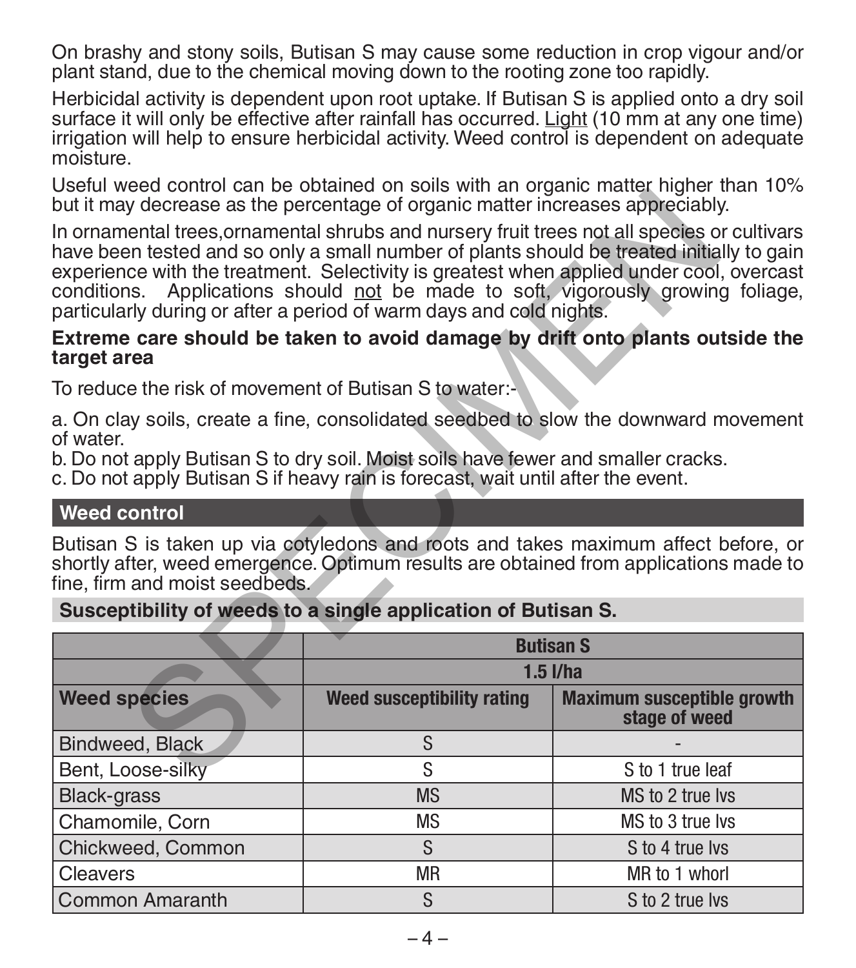On brashy and stony soils, Butisan S may cause some reduction in crop vigour and/or plant stand, due to the chemical moving down to the rooting zone too rapidly.

Herbicidal activity is dependent upon root uptake. If Butisan S is applied onto a dry soil surface it will only be effective after rainfall has occurred. Light (10 mm at any one time) irrigation will help to ensure herbicidal activity. Weed control is dependent on adequate moisture.

Useful weed control can be obtained on soils with an organic matter higher than 10% but it may decrease as the percentage of organic matter increases appreciably.

### **Extreme care should be taken to avoid damage by drift onto plants outside the target area**

# **Weed control**

|                                                                                                                                                                                                                                                                                                                                                                                                                                                 | but it may decrease as the percentage of organic matter increases appreciably.                                                                                        |                                                                                       |  |  |  |  |
|-------------------------------------------------------------------------------------------------------------------------------------------------------------------------------------------------------------------------------------------------------------------------------------------------------------------------------------------------------------------------------------------------------------------------------------------------|-----------------------------------------------------------------------------------------------------------------------------------------------------------------------|---------------------------------------------------------------------------------------|--|--|--|--|
| In ornamental trees, ornamental shrubs and nursery fruit trees not all species or cultivars<br>have been tested and so only a small number of plants should be treated initially to gain<br>experience with the treatment. Selectivity is greatest when applied under cool, overcast<br>conditions. Applications should not be made to soft, vigorously growing foliage,<br>particularly during or after a period of warm days and cold nights. |                                                                                                                                                                       |                                                                                       |  |  |  |  |
| target area                                                                                                                                                                                                                                                                                                                                                                                                                                     | Extreme care should be taken to avoid damage by drift onto plants outside the                                                                                         |                                                                                       |  |  |  |  |
| To reduce the risk of movement of Butisan S to water:-                                                                                                                                                                                                                                                                                                                                                                                          |                                                                                                                                                                       |                                                                                       |  |  |  |  |
| a. On clay soils, create a fine, consolidated seedbed to slow the downward movement<br>of water.                                                                                                                                                                                                                                                                                                                                                |                                                                                                                                                                       |                                                                                       |  |  |  |  |
|                                                                                                                                                                                                                                                                                                                                                                                                                                                 | b. Do not apply Butisan S to dry soil. Moist soils have fewer and smaller cracks.<br>c. Do not apply Butisan S if heavy rain is forecast, wait until after the event. |                                                                                       |  |  |  |  |
| <b>Weed control</b>                                                                                                                                                                                                                                                                                                                                                                                                                             |                                                                                                                                                                       |                                                                                       |  |  |  |  |
|                                                                                                                                                                                                                                                                                                                                                                                                                                                 | Butisan S is taken up via cotyledons and roots and takes maximum affect before, or                                                                                    |                                                                                       |  |  |  |  |
| fine, firm and moist seedbeds.                                                                                                                                                                                                                                                                                                                                                                                                                  |                                                                                                                                                                       | shortly after, weed emergence. Optimum results are obtained from applications made to |  |  |  |  |
|                                                                                                                                                                                                                                                                                                                                                                                                                                                 | Susceptibility of weeds to a single application of Butisan S.                                                                                                         |                                                                                       |  |  |  |  |
|                                                                                                                                                                                                                                                                                                                                                                                                                                                 |                                                                                                                                                                       | <b>Butisan S</b>                                                                      |  |  |  |  |
|                                                                                                                                                                                                                                                                                                                                                                                                                                                 |                                                                                                                                                                       | $1.5$ $I/ha$                                                                          |  |  |  |  |
| <b>Weed species</b>                                                                                                                                                                                                                                                                                                                                                                                                                             | Weed susceptibility rating                                                                                                                                            | <b>Maximum susceptible growth</b><br>stage of weed                                    |  |  |  |  |
| Bindweed, Black                                                                                                                                                                                                                                                                                                                                                                                                                                 | S                                                                                                                                                                     |                                                                                       |  |  |  |  |
| Bent, Loose-silky                                                                                                                                                                                                                                                                                                                                                                                                                               | S                                                                                                                                                                     | S to 1 true leaf                                                                      |  |  |  |  |
| <b>Black-grass</b>                                                                                                                                                                                                                                                                                                                                                                                                                              | <b>MS</b>                                                                                                                                                             | MS to 2 true lys                                                                      |  |  |  |  |
| Chamomile, Corn                                                                                                                                                                                                                                                                                                                                                                                                                                 | <b>MS</b>                                                                                                                                                             | MS to 3 true lys                                                                      |  |  |  |  |
| Chickweed, Common                                                                                                                                                                                                                                                                                                                                                                                                                               | S                                                                                                                                                                     | S to 4 true lys                                                                       |  |  |  |  |
| Cleavers                                                                                                                                                                                                                                                                                                                                                                                                                                        | <b>MR</b>                                                                                                                                                             | MR to 1 whorl                                                                         |  |  |  |  |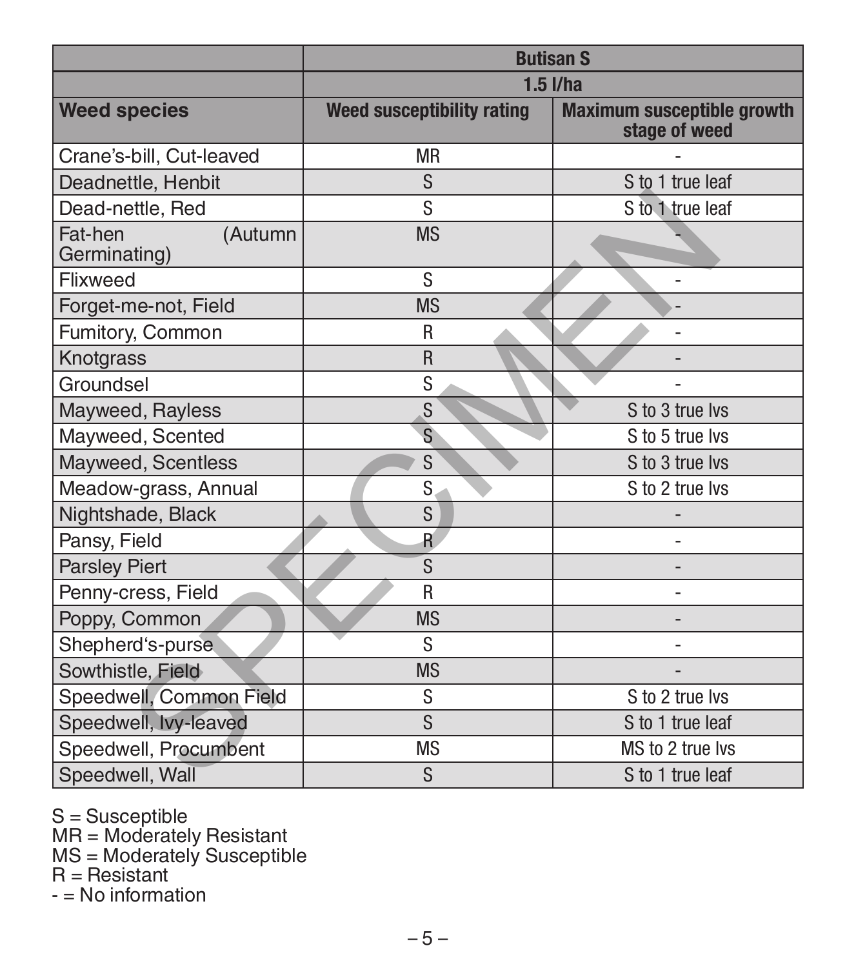|                                    |                            | <b>Butisan S</b>                                   |  |  |
|------------------------------------|----------------------------|----------------------------------------------------|--|--|
|                                    | $1.5$ $I/ha$               |                                                    |  |  |
| <b>Weed species</b>                | Weed susceptibility rating | <b>Maximum susceptible growth</b><br>stage of weed |  |  |
| Crane's-bill, Cut-leaved           | <b>MR</b>                  |                                                    |  |  |
| Deadnettle, Henbit                 | S                          | S to 1 true leaf                                   |  |  |
| Dead-nettle, Red                   | S                          | S to 1 true leaf                                   |  |  |
| Fat-hen<br>(Autumn<br>Germinating) | <b>MS</b>                  |                                                    |  |  |
| Flixweed                           | S                          |                                                    |  |  |
| Forget-me-not, Field               | <b>MS</b>                  |                                                    |  |  |
| Fumitory, Common                   | R                          |                                                    |  |  |
| Knotgrass                          | $\mathsf{R}$               |                                                    |  |  |
| Groundsel                          | S                          |                                                    |  |  |
| Mayweed, Rayless                   | S                          | S to 3 true lvs                                    |  |  |
| Mayweed, Scented                   | S                          | S to 5 true lvs                                    |  |  |
| Mayweed, Scentless                 | S                          | S to 3 true lvs                                    |  |  |
| Meadow-grass, Annual               | S                          | S to 2 true lvs                                    |  |  |
| Nightshade, Black                  | S                          |                                                    |  |  |
| Pansy, Field                       | $\mathsf{R}$               |                                                    |  |  |
| <b>Parsley Piert</b>               | S                          |                                                    |  |  |
| Penny-cress, Field                 | R                          |                                                    |  |  |
| Poppy, Common                      | <b>MS</b>                  |                                                    |  |  |
| Shepherd's-purse                   | S                          | ٠                                                  |  |  |
| Sowthistle, Field                  | <b>MS</b>                  |                                                    |  |  |
| Speedwell, Common Field            | S                          | S to 2 true lvs                                    |  |  |
| Speedwell, Ivy-leaved              | S                          | S to 1 true leaf                                   |  |  |
| Speedwell, Procumbent              | <b>MS</b>                  | MS to 2 true lvs                                   |  |  |
| Speedwell, Wall                    | S                          | S to 1 true leaf                                   |  |  |

S = Susceptible MR = Moderately Resistant MS = Moderately Susceptible R = Resistant

 $-$  = No information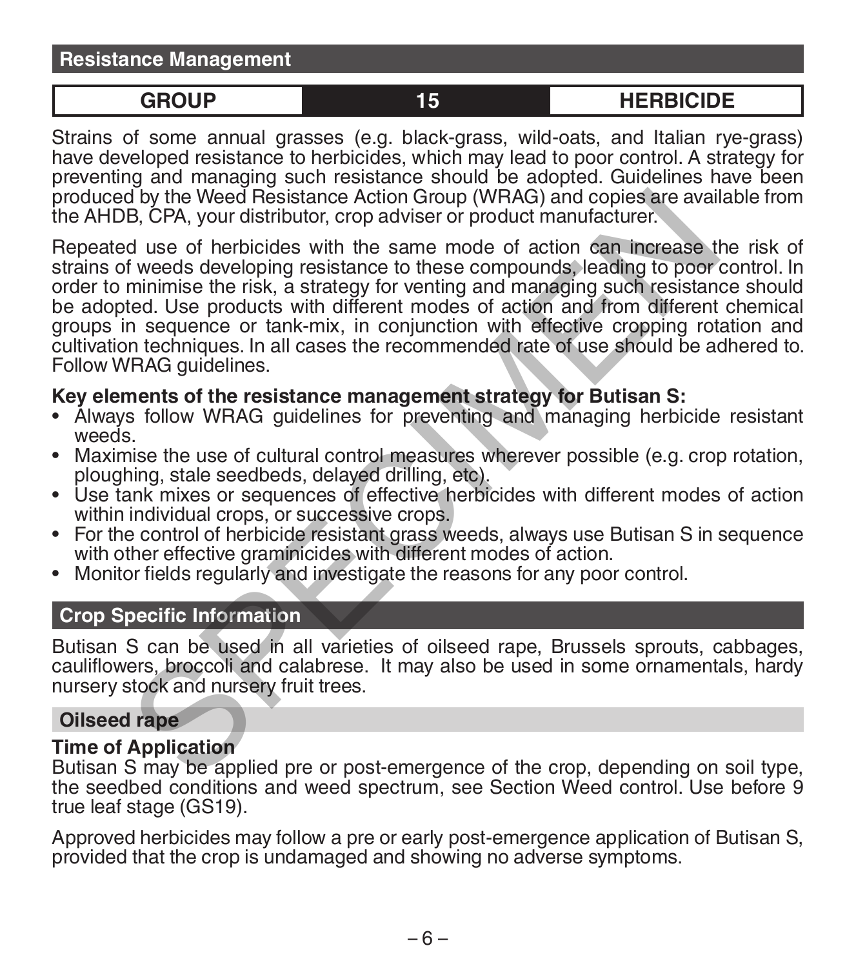**Resistance Management**

**GROUP 15 HERBICIDE**

Strains of some annual grasses (e.g. black-grass, wild-oats, and Italian rye-grass) have developed resistance to herbicides, which may lead to poor control. A strategy for preventing and managing such resistance should be adopted. Guidelines have been produced by the Weed Resistance Action Group (WRAG) and copies are available from the AHDB, CPA, your distributor, crop adviser or product manufacturer.

Repeated use of herbicides with the same mode of action can increase the risk of strains of weeds developing resistance to these compounds, leading to poor control. In order to minimise the risk, a strategy for venting and managing such resistance should be adopted. Use products with different modes of action and from different chemical groups in sequence or tank-mix, in conjunction with effective cropping rotation and cultivation techniques. In all cases the recommended rate of use should be adhered to. Follow WRAG guidelines. B by the Weed Resistance Action Group (WRAG) and copies are avail<br>B, CPA, your distributor, crop adviser or product manufacturer.<br>Id use of herbicides with the same mode of action can increase the<br>distributor cross develop

## **Key elements of the resistance management strategy for Butisan S:**

- Always follow WRAG guidelines for preventing and managing herbicide resistant
- Maximise the use of cultural control measures wherever possible (e.g. crop rotation, ploughing, stale seedbeds, delayed drilling, etc).
- Use tank mixes or sequences of effective herbicides with different modes of action<br>within individual crops, or successive crops.
- For the control of herbicide resistant grass weeds, always use Butisan S in sequence with other effective graminicides with different modes of action.
- Monitor fields regularly and investigate the reasons for any poor control.

## **Crop Specific Information**

Butisan S can be used in all varieties of oilseed rape, Brussels sprouts, cabbages, cauliflowers, broccoli and calabrese. It may also be used in some ornamentals, hardy nursery stock and nursery fruit trees.

### **Oilseed rape**

## **Time of Application**

Butisan S may be applied pre or post-emergence of the crop, depending on soil type, the seedbed conditions and weed spectrum, see Section Weed control. Use before 9 true leaf stage (GS19).

Approved herbicides may follow a pre or early post-emergence application of Butisan S, provided that the crop is undamaged and showing no adverse symptoms.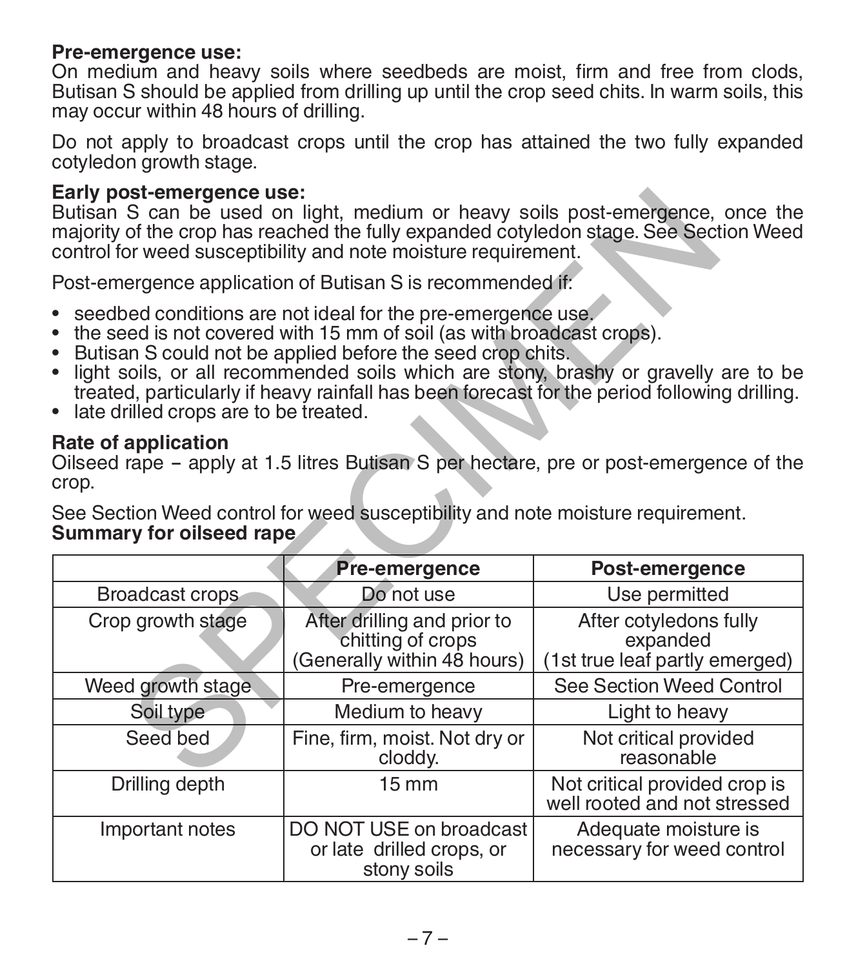### **Pre-emergence use:**

On medium and heavy soils where seedbeds are moist, firm and free from clods, Butisan S should be applied from drilling up until the crop seed chits. In warm soils, this may occur within 48 hours of drilling.

Do not apply to broadcast crops until the crop has attained the two fully expanded cotyledon growth stage.

### **Early post-emergence use:**

- 
- seedbed conditions are not ideal for the pre-emergence use.<br>• the seed is not covered with 15 mm of soil (as with broadcast crops).<br>• Butisan S could not be applied before the seed crop chits.<br>• light soils, or all recom
- 
- treated, particularly if heavy rainfall has been forecast for the period following drilling. late drilled crops are to be treated.
- 

### **Rate of application**

| Early post-emergence use:<br>Butisan S can be used on light, medium or heavy soils post-emergence, once the<br>majority of the crop has reached the fully expanded cotyledon stage. See Section Weed<br>control for weed susceptibility and note moisture requirement.                                                                                                                                                                                  |                                                                                               |                                                                                        |  |  |  |  |
|---------------------------------------------------------------------------------------------------------------------------------------------------------------------------------------------------------------------------------------------------------------------------------------------------------------------------------------------------------------------------------------------------------------------------------------------------------|-----------------------------------------------------------------------------------------------|----------------------------------------------------------------------------------------|--|--|--|--|
| Post-emergence application of Butisan S is recommended if:                                                                                                                                                                                                                                                                                                                                                                                              |                                                                                               |                                                                                        |  |  |  |  |
| • seedbed conditions are not ideal for the pre-emergence use.<br>the seed is not covered with 15 mm of soil (as with broadcast crops).<br>$\bullet$<br>• Butisan S could not be applied before the seed crop chits.<br>• light soils, or all recommended soils which are stony, brashy or gravelly are to be<br>treated, particularly if heavy rainfall has been forecast for the period following drilling.<br>• late drilled crops are to be treated. |                                                                                               |                                                                                        |  |  |  |  |
| Rate of application<br>crop.                                                                                                                                                                                                                                                                                                                                                                                                                            | See Section Weed control for weed susceptibility and note moisture requirement.               | Oilseed rape - apply at 1.5 litres Butisan S per hectare, pre or post-emergence of the |  |  |  |  |
|                                                                                                                                                                                                                                                                                                                                                                                                                                                         |                                                                                               |                                                                                        |  |  |  |  |
| Summary for oilseed rape                                                                                                                                                                                                                                                                                                                                                                                                                                |                                                                                               |                                                                                        |  |  |  |  |
|                                                                                                                                                                                                                                                                                                                                                                                                                                                         | Pre-emergence                                                                                 | Post-emergence                                                                         |  |  |  |  |
| Broadcast crops<br>Crop growth stage                                                                                                                                                                                                                                                                                                                                                                                                                    | Do not use<br>After drilling and prior to<br>chitting of crops<br>(Generally within 48 hours) | Use permitted<br>After cotyledons fully<br>expanded<br>(1st true leaf partly emerged)  |  |  |  |  |
| Weed growth stage                                                                                                                                                                                                                                                                                                                                                                                                                                       | Pre-emergence                                                                                 | See Section Weed Control                                                               |  |  |  |  |
| Soil type                                                                                                                                                                                                                                                                                                                                                                                                                                               | Medium to heavy                                                                               | Light to heavy                                                                         |  |  |  |  |
| Seed bed                                                                                                                                                                                                                                                                                                                                                                                                                                                | Fine, firm, moist. Not dry or<br>cloddy.                                                      | Not critical provided<br>reasonable                                                    |  |  |  |  |
| Drilling depth                                                                                                                                                                                                                                                                                                                                                                                                                                          | $15 \, \text{mm}$                                                                             | Not critical provided crop is<br>well rooted and not stressed                          |  |  |  |  |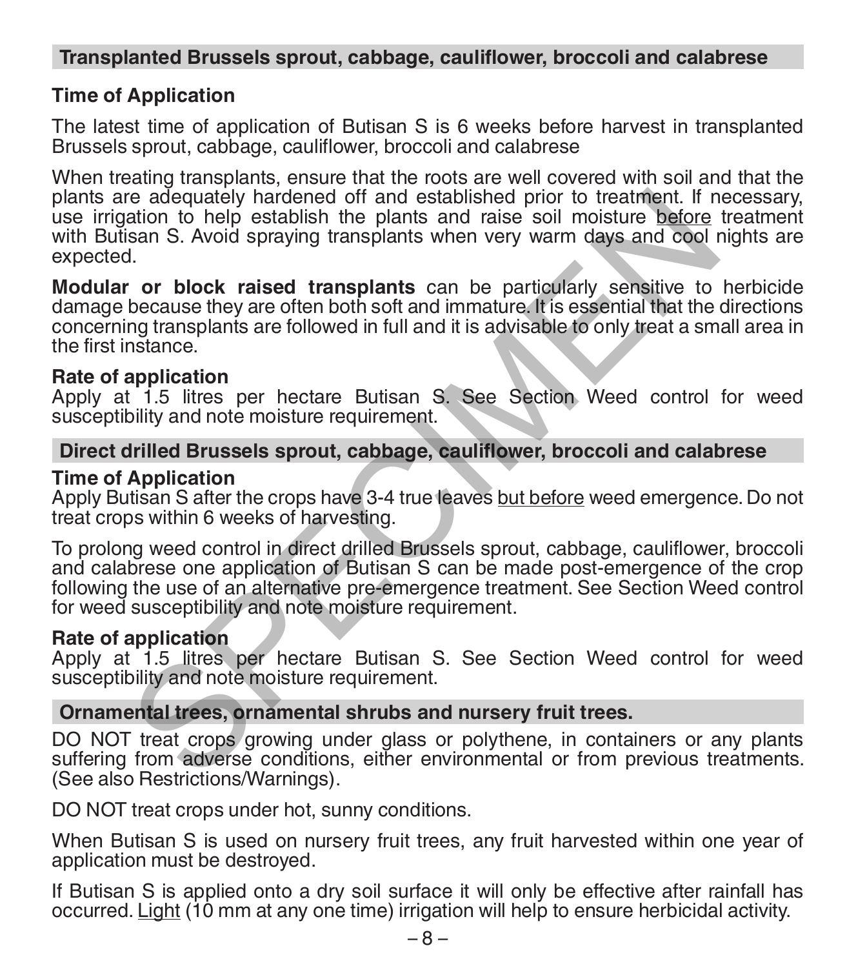### **Transplanted Brussels sprout, cabbage, cauliflower, broccoli and calabrese**

## **Time of Application**

The latest time of application of Butisan S is 6 weeks before harvest in transplanted Brussels sprout, cabbage, cauliflower, broccoli and calabrese

When treating transplants, ensure that the roots are well covered with soil and that the plants are adequately hardened off and established prior to treatment. If necessary, use irrigation to help establish the plants and raise soil moisture before treatment with Butisan S. Avoid spraying transplants when very warm days and cool nights are expected.

**Modular or block raised transplants** can be particularly sensitive to herbicide damage because they are often both soft and immature. It is essential that the directions concerning transplants are followed in full and it is advisable to only treat a small area in the first instance.

## **Rate of application**

Apply at 1.5 litres per hectare Butisan S. See Section Weed control for weed susceptibility and note moisture requirement.

### **Direct drilled Brussels sprout, cabbage, cauliflower, broccoli and calabrese**

## **Time of Application**

Apply Butisan S after the crops have 3-4 true leaves but before weed emergence. Do not treat crops within 6 weeks of harvesting.

To prolong weed control in direct drilled Brussels sprout, cabbage, cauliflower, broccoli and calabrese one application of Butisan S can be made post-emergence of the crop following the use of an alternative pre-emergence treatment. See Section Weed control for weed susceptibility and note moisture requirement. re adequately hardened off and established prior to treatment. If nation to help establish the plants and raise soil moisture before the particularly sensitive to social moisture before the particularly sensitive to becaus

## **Rate of application**

Apply at 1.5 litres per hectare Butisan S. See Section Weed control for weed susceptibility and note moisture requirement.

### **Ornamental trees, ornamental shrubs and nursery fruit trees.**

DO NOT treat crops growing under glass or polythene, in containers or any plants suffering from adverse conditions, either environmental or from previous treatments. (See also Restrictions/Warnings).

DO NOT treat crops under hot, sunny conditions.

When Butisan S is used on nursery fruit trees, any fruit harvested within one year of application must be destroyed.

If Butisan S is applied onto a dry soil surface it will only be effective after rainfall has occurred. Light (10 mm at any one time) irrigation will help to ensure herbicidal activity.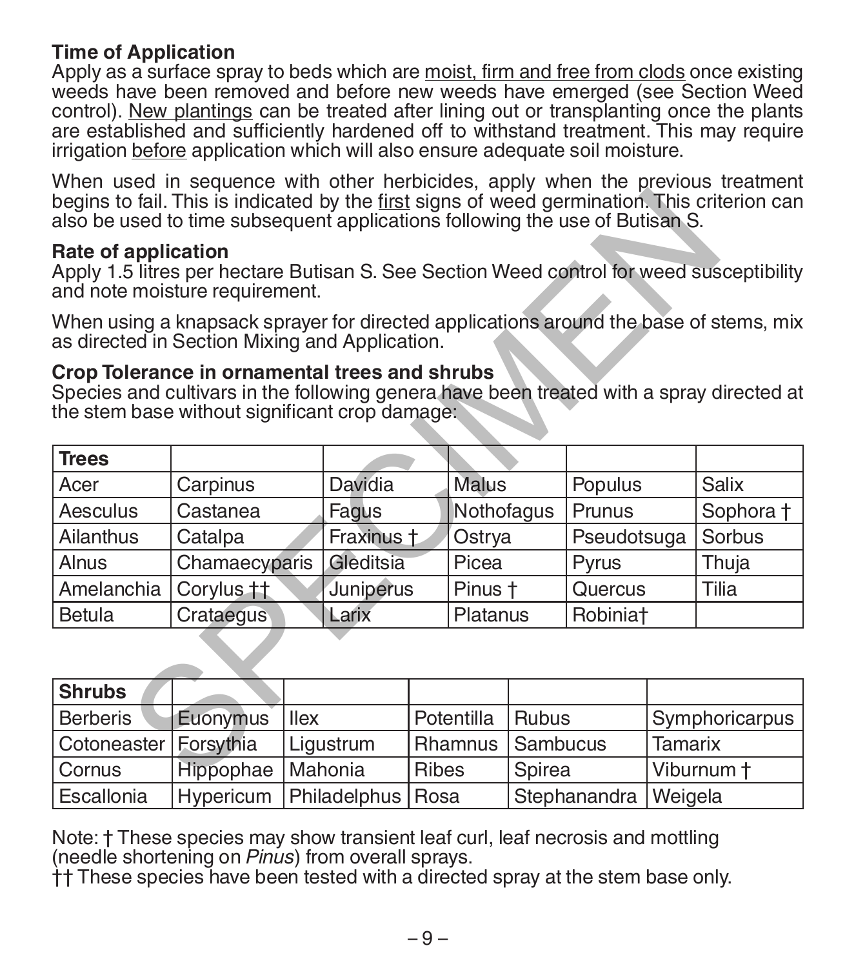### **Time of Application**

Apply as a surface spray to beds which are moist, firm and free from clods once existing weeds have been removed and before new weeds have emerged (see Section Weed control). New plantings can be treated after lining out or transplanting once the plants are established and sufficiently hardened off to withstand treatment. This may require irrigation before application which will also ensure adequate soil moisture.

When used in sequence with other herbicides, apply when the previous treatment begins to fail. This is indicated by the first signs of weed germination. This criterion can also be used to time subsequent applications following the use of Butisan S.

### **Rate of application**

### **Crop Tolerance in ornamental trees and shrubs**

| begins to fail. This is indicated by the first signs of weed germination. This criterion can<br>also be used to time subsequent applications following the use of Butisan S.                |                       |       |                |              |                            |              |                      |  |                |
|---------------------------------------------------------------------------------------------------------------------------------------------------------------------------------------------|-----------------------|-------|----------------|--------------|----------------------------|--------------|----------------------|--|----------------|
| Rate of application<br>Apply 1.5 litres per hectare Butisan S. See Section Weed control for weed susceptibility<br>and note moisture requirement.                                           |                       |       |                |              |                            |              |                      |  |                |
| When using a knapsack sprayer for directed applications around the base of stems, mix<br>as directed in Section Mixing and Application.                                                     |                       |       |                |              |                            |              |                      |  |                |
| Crop Tolerance in ornamental trees and shrubs<br>Species and cultivars in the following genera have been treated with a spray directed at<br>the stem base without significant crop damage: |                       |       |                |              |                            |              |                      |  |                |
| <b>Trees</b>                                                                                                                                                                                |                       |       |                |              |                            |              |                      |  |                |
| Acer                                                                                                                                                                                        | Carpinus              |       | <b>Davidia</b> |              | <b>Malus</b>               |              | Populus              |  | Salix          |
| Aesculus                                                                                                                                                                                    | Castanea              |       | Fagus          |              | Nothofagus                 |              | Prunus               |  | Sophora +      |
| Ailanthus                                                                                                                                                                                   | Catalpa               |       | Fraxinus +     |              | Ostrya                     |              | Pseudotsuga          |  | Sorbus         |
| Alnus                                                                                                                                                                                       | Chamaecyparis         |       | Gleditsia      |              | Picea                      |              | Pyrus                |  | Thuja          |
| Amelanchia                                                                                                                                                                                  | Corylus <sub>11</sub> |       | Juniperus      |              | Pinus t                    |              | Quercus              |  | Tilia          |
| <b>Betula</b>                                                                                                                                                                               | Crataegus             | Larix |                |              | Platanus                   |              | Robinia <sup>+</sup> |  |                |
|                                                                                                                                                                                             |                       |       |                |              |                            |              |                      |  |                |
| <b>Shrubs</b>                                                                                                                                                                               |                       |       |                |              |                            |              |                      |  |                |
| <b>Berberis</b>                                                                                                                                                                             | Euonymus              | llex  |                |              | Potentilla                 | <b>Rubus</b> |                      |  | Symphoricarpus |
| Cotoneaster                                                                                                                                                                                 | Forsythia             |       | Ligustrum      |              | Sambucus<br><b>Rhamnus</b> |              | Tamarix              |  |                |
| Cornus                                                                                                                                                                                      | Hippophae             |       | Mahonia        | <b>Ribes</b> |                            |              | Spirea               |  | Viburnum t     |

| <b>Shrubs</b>           |           |                                 |              |                        |                |
|-------------------------|-----------|---------------------------------|--------------|------------------------|----------------|
| <b>Berberis</b>         | Euonymus  | <b>Ilex</b>                     | Potentilla   | <b>Rubus</b>           | Symphoricarpus |
| Cotoneaster   Forsythia |           | Ligustrum                       |              | Rhamnus   Sambucus     | Tamarix        |
| Cornus                  | Hippophae | <b>Mahonia</b>                  | <b>Ribes</b> | l Spirea               | Viburnum t     |
| Escallonia              |           | Hypericum   Philadelphus   Rosa |              | Stephanandra   Weigela |                |

Note: † These species may show transient leaf curl, leaf necrosis and mottling (needle shortening on *Pinus*) from overall sprays.

†† These species have been tested with a directed spray at the stem base only.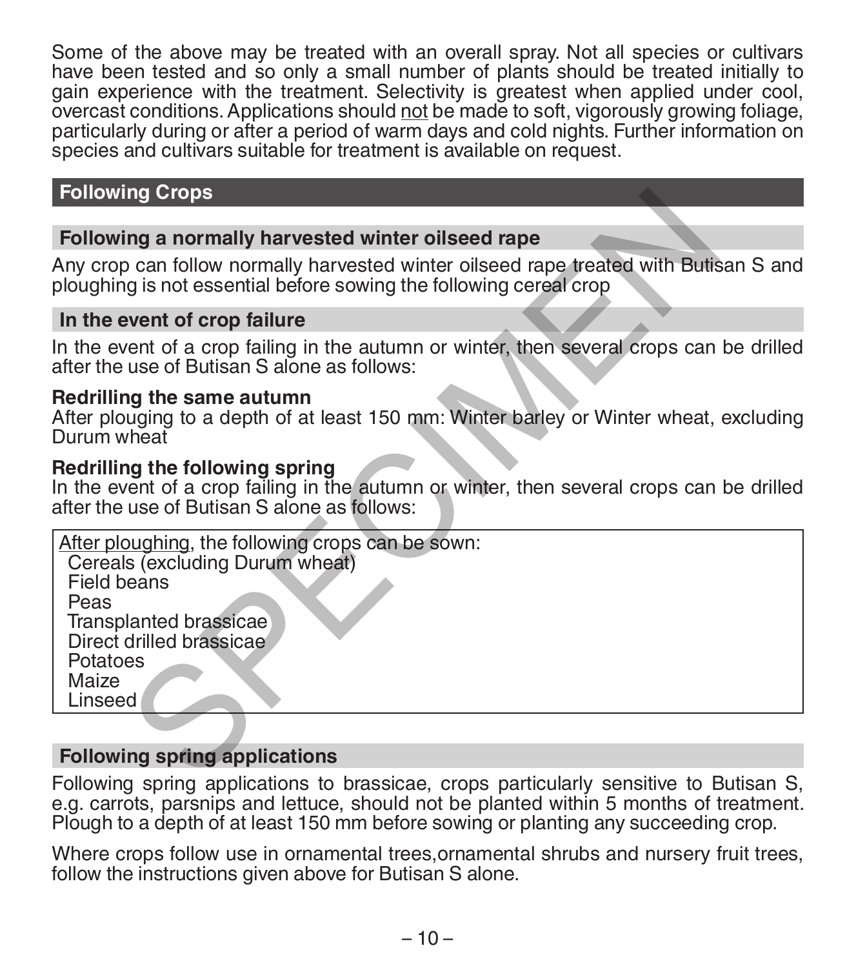Some of the above may be treated with an overall spray. Not all species or cultivars have been tested and so only a small number of plants should be treated initially to gain experience with the treatment. Selectivity is greatest when applied under cool, overcast conditions. Applications should not be made to soft, vigorously growing foliage, particularly during or after a period of warm days and cold nights. Further information on species and cultivars suitable for treatment is available on request.

# **Following Crops**

### **Following a normally harvested winter oilseed rape**

### **In the event of crop failure**

### **Redrilling the same autumn**

### **Redrilling the following spring**

| <b>Following Crops</b>                                                                                                                                                                            |  |
|---------------------------------------------------------------------------------------------------------------------------------------------------------------------------------------------------|--|
|                                                                                                                                                                                                   |  |
| Following a normally harvested winter oilseed rape                                                                                                                                                |  |
| Any crop can follow normally harvested winter oilseed rape treated with Butisan S and<br>ploughing is not essential before sowing the following cereal crop                                       |  |
| In the event of crop failure                                                                                                                                                                      |  |
| In the event of a crop failing in the autumn or winter, then several crops can be drilled<br>after the use of Butisan S alone as follows:                                                         |  |
| Redrilling the same autumn<br>After plouging to a depth of at least 150 mm: Winter barley or Winter wheat, excluding<br>Durum wheat                                                               |  |
| Redrilling the following spring<br>In the event of a crop failing in the autumn or winter, then several crops can be drilled<br>after the use of Butisan S alone as follows:                      |  |
| After ploughing, the following crops can be sown:<br>Cereals (excluding Durum wheat)<br>Field beans<br>Peas<br>Transplanted brassicae<br>Direct drilled brassicae<br>Potatoes<br>Maize<br>Linseed |  |
|                                                                                                                                                                                                   |  |
| <b>Following spring applications</b>                                                                                                                                                              |  |
| $\blacksquare$ . The second construction of the second construction of the second $\blacksquare$                                                                                                  |  |

### **Following spring applications**

Following spring applications to brassicae, crops particularly sensitive to Butisan S, e.g. carrots, parsnips and lettuce, should not be planted within 5 months of treatment. Plough to a depth of at least 150 mm before sowing or planting any succeeding crop.

Where crops follow use in ornamental trees, ornamental shrubs and nursery fruit trees. follow the instructions given above for Butisan S alone.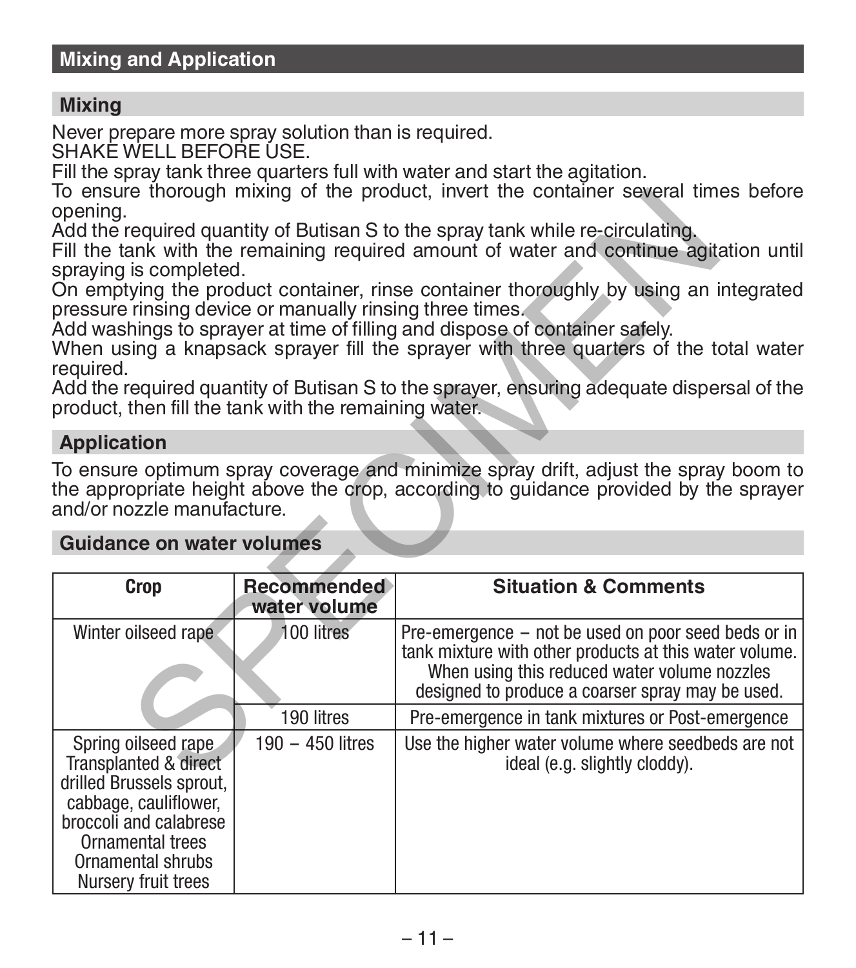### **Mixing**

Never prepare more spray solution than is required.

SHAKE WELL BEFORE USE.

Fill the spray tank three quarters full with water and start the agitation.

To ensure thorough mixing of the product, invert the container several times before opening.

### **Application**

### **Guidance on water volumes**

| opening.                                                              |                                    | To ensure thorough mixing of the product, invert the container several times before                                                                                                                                                                          |
|-----------------------------------------------------------------------|------------------------------------|--------------------------------------------------------------------------------------------------------------------------------------------------------------------------------------------------------------------------------------------------------------|
| spraying is completed.                                                |                                    | Add the required quantity of Butisan S to the spray tank while re-circulating.<br>Fill the tank with the remaining required amount of water and continue agitation until                                                                                     |
| pressure rinsing device or manually rinsing three times.<br>required. |                                    | On emptying the product container, rinse container thoroughly by using an integrated<br>Add washings to sprayer at time of filling and dispose of container safely.<br>When using a knapsack sprayer fill the sprayer with three quarters of the total water |
| product, then fill the tank with the remaining water.                 |                                    | Add the required quantity of Butisan S to the sprayer, ensuring adequate dispersal of the                                                                                                                                                                    |
| <b>Application</b>                                                    |                                    |                                                                                                                                                                                                                                                              |
| and/or nozzle manufacture.                                            |                                    | To ensure optimum spray coverage and minimize spray drift, adjust the spray boom to<br>the appropriate height above the crop, according to guidance provided by the sprayer                                                                                  |
| <b>Guidance on water volumes</b>                                      |                                    |                                                                                                                                                                                                                                                              |
| <b>Crop</b>                                                           | <b>Recommended</b><br>water volume | <b>Situation &amp; Comments</b>                                                                                                                                                                                                                              |
| Winter oilseed rape                                                   | 100 litres                         | Pre-emergence – not be used on poor seed beds or in<br>tank mixture with other products at this water volume.<br>When using this reduced water volume nozzles<br>designed to produce a coarser spray may be used.                                            |
|                                                                       |                                    |                                                                                                                                                                                                                                                              |
|                                                                       | 190 litres                         | Pre-emergence in tank mixtures or Post-emergence                                                                                                                                                                                                             |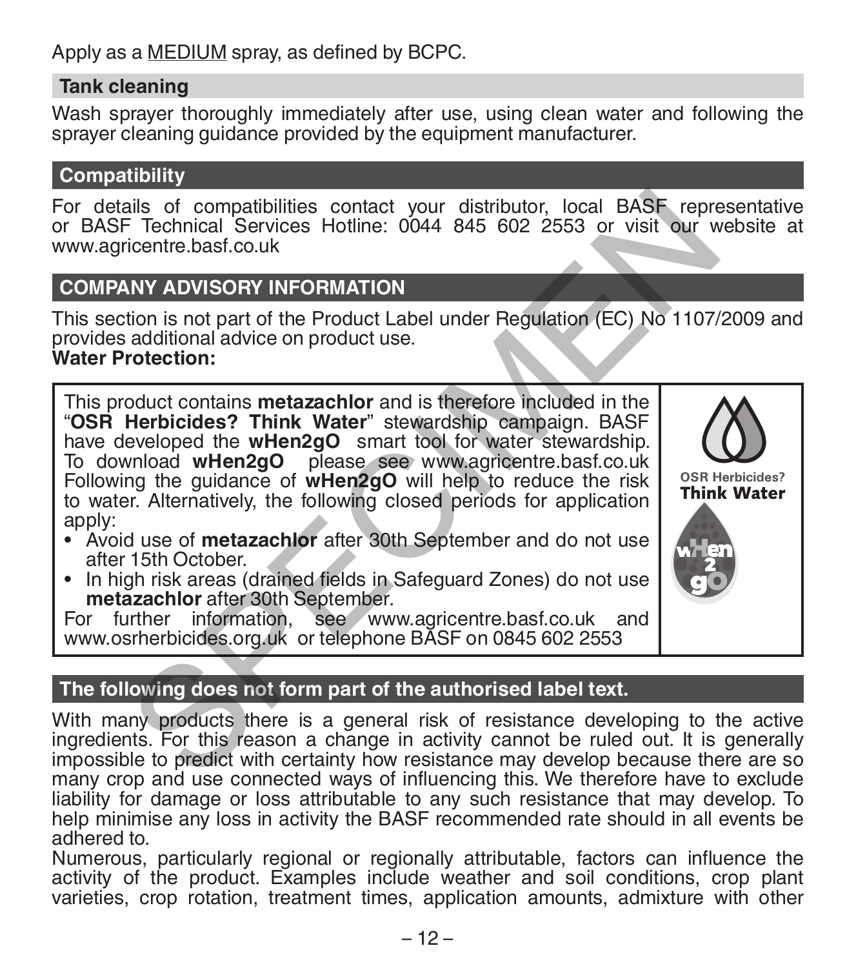Apply as a MEDIUM spray, as defined by BCPC.

### **Tank cleaning**

Wash sprayer thoroughly immediately after use, using clean water and following the sprayer cleaning quidance provided by the equipment manufacturer.

# **Compatibility**

For details of compatibilities contact your distributor, local BASF representative or BASF Technical Services Hotline: 0044 845 602 2553 or visit our website at www.agricentre.basf.co.uk

# **COMPANY ADVISORY INFORMATION**

This section is not part of the Product Label under Regulation (EC) No 1107/2009 and provides additional advice on product use. **Water Protection:**

This product contains **metazachlor** and is therefore included in the "**OSR Herbicides? Think Water**" stewardship campaign. BASF have developed the **wHen2gO** smart tool for water stewardship. To download **wHen2gO** please see www.agricentre.basf.co.uk Following the guidance of **wHen2gO** will help to reduce the risk to water. Alternatively, the following closed periods for application apply: ails of compatibilities contact your distributor, local BASF representations in the model of the Product Label under Regulation (EC) No 1107/<br>
Significant Correction:<br>
SIMPLE TO A CONSIDERY INFORMATION<br>
additional advice o

- Avoid use of **metazachlor** after 30th September and do not use after 15th October.
- In high risk areas (drained fields in Safeguard Zones) do not use **metazachlor** after 30th September.

For further information, see www.agricentre.basf.co.uk and www.osrherbicides.org.uk or telephone BASF on 0845 602 2553

# **The following does not form part of the authorised label text.**

With many products there is a general risk of resistance developing to the active ingredients. For this reason a change in activity cannot be ruled out. It is generally impossible to predict with certainty how resistance may develop because there are so many crop and use connected ways of influencing this. We therefore have to exclude liability for damage or loss attributable to any such resistance that may develop. To help minimise any loss in activity the BASF recommended rate should in all events be adhered to.

Numerous, particularly regional or regionally attributable, factors can influence the activity of the product. Examples include weather and soil conditions, crop plant varieties, crop rotation, treatment times, application amounts, admixture with other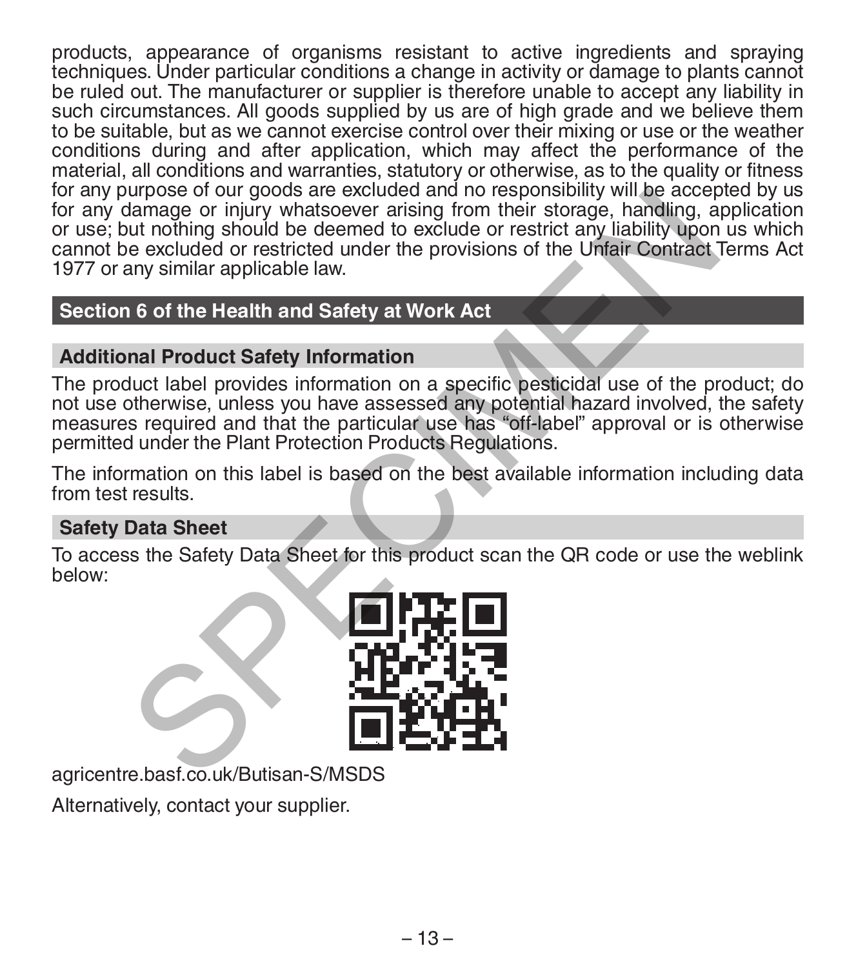products, appearance of organisms resistant to active ingredients and spraying techniques. Under particular conditions a change in activity or damage to plants cannot be ruled out. The manufacturer or supplier is therefore unable to accept any liability in such circumstances. All goods supplied by us are of high grade and we believe them to be suitable, but as we cannot exercise control over their mixing or use or the weather conditions during and after application, which may affect the performance of the material, all conditions and warranties, statutory or otherwise, as to the quality or fitness for any purpose of our goods are excluded and no responsibility will be accepted by us for any damage or injury whatsoever arising from their storage, handling, application or use; but nothing should be deemed to exclude or restrict any liability upon us which cannot be excluded or restricted under the provisions of the Unfair Contract Terms Act 1977 or any similar applicable law. Through the excluded and the strength and the sponsorium will be accepted<br>tamage or injury whatsoever arising from their storage, handling, a<br>damage or injury whatsoever arising from their storage, handling, a<br>dut nothing

# **Section 6 of the Health and Safety at Work Act**

# **Additional Product Safety Information**

The product label provides information on a specific pesticidal use of the product; do not use otherwise, unless you have assessed any potential hazard involved, the safety measures required and that the particular use has "off-label" approval or is otherwise permitted under the Plant Protection Products Regulations.

The information on this label is based on the best available information including data from test results.

# **Safety Data Sheet**

To access the Safety Data Sheet for this product scan the QR code or use the weblink below:



agricentre.basf.co.uk/Butisan-S/MSDS

Alternatively, contact your supplier.